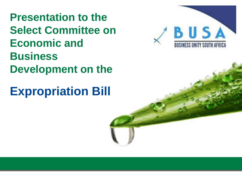**Presentation to the Select Committee on Economic and Business Development on the**

**Expropriation Bill**

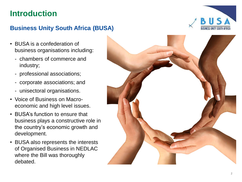# **Introduction**

## **Business Unity South Africa (BUSA)**

- BUSA is a confederation of business organisations including:
	- chambers of commerce and industry;
	- professional associations;
	- corporate associations; and
	- unisectoral organisations.
- Voice of Business on Macro economic and high level issues.
- BUSA's function to ensure that business plays a constructive role in the country's economic growth and development.
- BUSA also represents the interests of Organised Business in NEDLAC where the Bill was thoroughly debated.



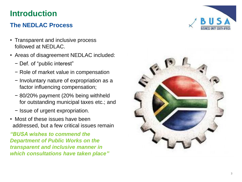# **Introduction**

## **The NEDLAC Process**

- Transparent and inclusive process followed at NEDLAC.
- Areas of disagreement NEDLAC included:
	- − Def. of "public interest"
	- − Role of market value in compensation
	- − Involuntary nature of expropriation as a factor influencing compensation;
	- − 80/20% payment (20% being withheld for outstanding municipal taxes etc.; and
	- − Issue of urgent expropriation.
- Most of these issues have been addressed, but a few critical issues remain

*"BUSA wishes to commend the Department of Public Works on the transparent and inclusive manner in which consultations have taken place "*



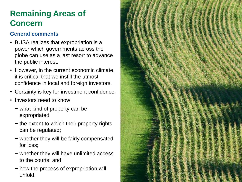### **General comments**

- BUSA realizes that expropriation is a power which governments across the globe can use as a last resort to advance the public interest.
- However, in the current economic climate, it is critical that we instill the utmost confidence in local and foreign investors.
- Certainty is key for investment confidence.
- Investors need to know
	- − what kind of property can be expropriated;
	- − the extent to which their property rights can be regulated ;
	- − whether they will be fairly compensated for loss;
	- − whether they will have unlimited access to the courts; and
	- − how the process of expropriation will unfold.

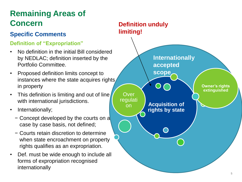## **Specific Comments**

## **Definition of "Expropriation"**

- No definition in the initial Bill considered by NEDLAC; definition inserted by the Portfolio Committee.
- Proposed definition limits concept to instances where the state acquires rights in property
- This definition is limiting and out of line with international jurisdictions.
- Internationally;
	- − Concept developed by the courts on a case by case basis, not defined;
	- − Courts retain discretion to determine when state encroachment on property rights qualifies as an expropriation.
- Def. must be wide enough to include all forms of expropriation recognised internationally

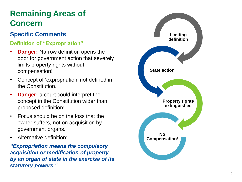## **Specific Comments Limiting Limiting**

### **Definition of "Expropriation"**

- **Danger:** Narrow definition opens the door for government action that severely limits property rights without compensation!
- Concept of 'expropriation' not defined in the Constitution.
- **Danger:** a court could interpret the concept in the Constitution wider than proposed definition!
- Focus should be on the loss that the owner suffers, not on acquisition by government organs.
- Alternative definition:

*"Expropriation means the compulsory acquisition or modification of property by an organ of state in the exercise of its statutory powers "*

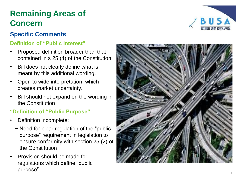## **Specific Comments**

### **Definition of "Public Interest"**

- Proposed definition broader than that contained in s 25 (4) of the Constitution.
- Bill does not clearly define what is meant by this additional wording.
- Open to wide interpretation, which creates market uncertainty.
- Bill should not expand on the wording in the Constitution

## **"Definition of "Public Purpose"**

- Definition incomplete:
	- − Need for clear regulation of the "public purpose" requirement in legislation to ensure conformity with section 25 (2) of the Constitution
- Provision should be made for regulations which define "public purpose"



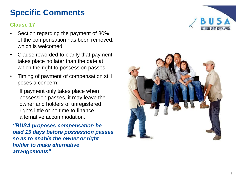# **Specific Comments**

#### **Clause 17**

- Section regarding the payment of 80% of the compensation has been removed, which is welcomed .
- Clause reworded to clarify that payment takes place no later than the date at which the right to possession passes.
- Timing of payment of compensation still poses a concern :
	- − If payment only takes place when possession passes, it may leave the owner and holders of unregistered rights little or no time to finance alternative accommodation.

*"BUSA proposes compensation be paid 15 days before possession passes so as to enable the owner or right holder to make alternative arrangements"*



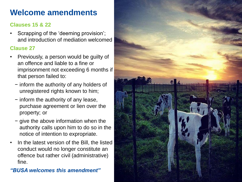# **Welcome amendments**

### **Clauses 15 & 22**

• Scrapping of the 'deeming provision'; and introduction of mediation welcomed

#### **Clause 27**

- Previously, a person would be guilty of an offence and liable to a fine or imprisonment not exceeding 6 months if that person failed to:
	- − inform the authority of any holders of unregistered rights known to him;
	- − inform the authority of any lease, purchase agreement or lien over the property; or
	- − give the above information when the authority calls upon him to do so in the notice of intention to expropriate.
- In the latest version of the Bill, the listed conduct would no longer constitute an offence but rather civil (administrative) fine.

*"BUSA welcomes this amendment"*

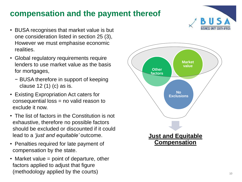# **compensation and the payment thereof**

- BUSA recognises that market value is but one consideration listed in section 25 (3), However we must emphasise economic realities.
- Global regulatory requirements require lenders to use market value as the basis for mortgages,
	- − BUSA therefore in support of keeping clause 12 (1) (c) as is.
- Existing Expropriation Act caters for consequential loss = no valid reason to exclude it now.
- The list of factors in the Constitution is not exhaustive, therefore no possible factors should be excluded or discounted if it could lead to a *'just and equitable'* outcome.
- Penalties required for late payment of compensation by the state.
- Market value = point of departure, other factors applied to adjust that figure (methodology applied by the courts)

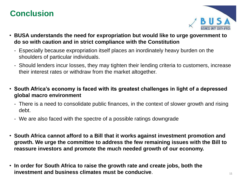# **Conclusion**



- **BUSA understands the need for expropriation but would like to urge government to do so with caution and in strict compliance with the Constitution**
	- Especially because expropriation itself places an inordinately heavy burden on the shoulders of particular individuals.
	- Should lenders incur losses, they may tighten their lending criteria to customers, increase their interest rates or withdraw from the market altogether.
- **South Africa's economy is faced with its greatest challenges in light of a depressed global macro environment**
	- There is a need to consolidate public finances, in the context of slower growth and rising debt.
	- We are also faced with the spectre of a possible ratings downgrade
- **South Africa cannot afford to a Bill that it works against investment promotion and growth. We urge the committee to address the few remaining issues with the Bill to reassure investors and promote the much needed growth of our economy.**
- **In order for South Africa to raise the growth rate and create jobs, both the investment and business climates must be conducive**.